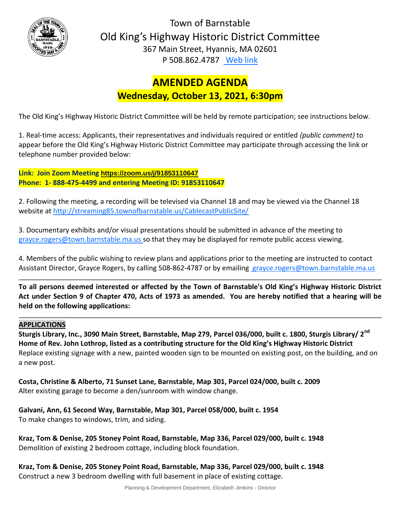

Town of Barnstable Old King's Highway Historic District Committee 367 Main Street, Hyannis, MA 02601 P 508.862.4787 [Web link](https://tobweb.town.barnstable.ma.us/boardscommittees/OldKingsHighway/?brd=Old+King%27s+Highway&year=2021)

# **AMENDED AGENDA Wednesday, October 13, 2021, 6:30pm**

The Old King's Highway Historic District Committee will be held by remote participation; see instructions below.

1. Real-time access: Applicants, their representatives and individuals required or entitled *(public comment)* to appear before the Old King's Highway Historic District Committee may participate through accessing the link or telephone number provided below:

**Link: Join Zoom Meeting <https://zoom.us/j/91853110647> Phone: 1- 888-475-4499 and entering Meeting ID: 91853110647**

2. Following the meeting, a recording will be televised via Channel 18 and may be viewed via the Channel 18 website at<http://streaming85.townofbarnstable.us/CablecastPublicSite/>

3. Documentary exhibits and/or visual presentations should be submitted in advance of the meeting to grayce.rogers@town.barnstable.ma.us so that they may be displayed for remote public access viewing.

4. Members of the public wishing to review plans and applications prior to the meeting are instructed to contact Assistant Director, Grayce Rogers, by calling 508-862-4787 or by emailing [grayce.rogers@town.barnstable.ma.us](mailto:grayce.rogers@town.barnstable.ma.us)

**To all persons deemed interested or affected by the Town of Barnstable's Old King's Highway Historic District Act under Section 9 of Chapter 470, Acts of 1973 as amended. You are hereby notified that a hearing will be held on the following applications:**

# **APPLICATIONS**

**Sturgis Library, Inc., 3090 Main Street, Barnstable, Map 279, Parcel 036/000, built c. 1800, Sturgis Library/ 2nd Home of Rev. John Lothrop, listed as a contributing structure for the Old King's Highway Historic District** Replace existing signage with a new, painted wooden sign to be mounted on existing post, on the building, and on a new post.

**Costa, Christine & Alberto, 71 Sunset Lane, Barnstable, Map 301, Parcel 024/000, built c. 2009** Alter existing garage to become a den/sunroom with window change.

**Galvani, Ann, 61 Second Way, Barnstable, Map 301, Parcel 058/000, built c. 1954** To make changes to windows, trim, and siding.

**Kraz, Tom & Denise, 205 Stoney Point Road, Barnstable, Map 336, Parcel 029/000, built c. 1948** Demolition of existing 2 bedroom cottage, including block foundation.

**Kraz, Tom & Denise, 205 Stoney Point Road, Barnstable, Map 336, Parcel 029/000, built c. 1948** Construct a new 3 bedroom dwelling with full basement in place of existing cottage.